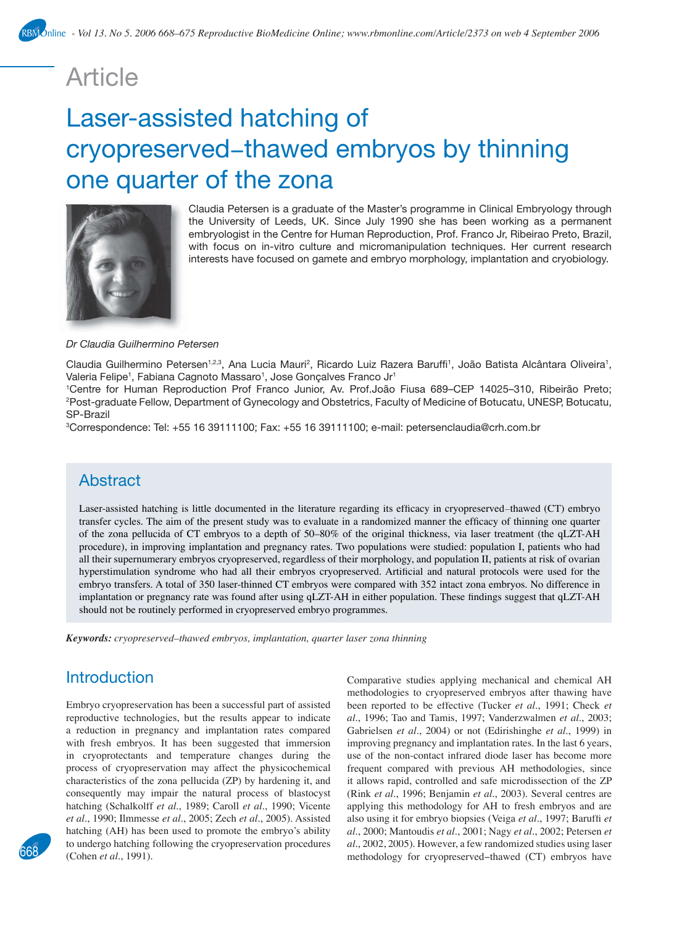# Article

# Laser-assisted hatching of cryopreserved−thawed embryos by thinning one quarter of the zona



Claudia Petersen is a graduate of the Master's programme in Clinical Embryology through the University of Leeds, UK. Since July 1990 she has been working as a permanent embryologist in the Centre for Human Reproduction, Prof. Franco Jr, Ribeirao Preto, Brazil, with focus on in-vitro culture and micromanipulation techniques. Her current research interests have focused on gamete and embryo morphology, implantation and cryobiology.

#### *Dr Claudia Guilhermino Petersen*

Claudia Guilhermino Petersen<sup>1,2,3</sup>, Ana Lucia Mauri<sup>2</sup>, Ricardo Luiz Razera Baruffi<sup>1</sup>, João Batista Alcântara Oliveira<sup>1</sup>, Valeria Felipe<sup>1</sup>, Fabiana Cagnoto Massaro<sup>1</sup>, Jose Gonçalves Franco Jr<sup>1</sup>

1 Centre for Human Reproduction Prof Franco Junior, Av. Prof.João Fiusa 689–CEP 14025–310, Ribeirão Preto; 2 Post-graduate Fellow, Department of Gynecology and Obstetrics, Faculty of Medicine of Botucatu, UNESP, Botucatu, SP-Brazil

3 Correspondence: Tel: +55 16 39111100; Fax: +55 16 39111100; e-mail: petersenclaudia@crh.com.br

# **Abstract**

Laser-assisted hatching is little documented in the literature regarding its efficacy in cryopreserved–thawed (CT) embryo transfer cycles. The aim of the present study was to evaluate in a randomized manner the efficacy of thinning one quarter of the zona pellucida of CT embryos to a depth of 50–80% of the original thickness, via laser treatment (the qLZT-AH procedure), in improving implantation and pregnancy rates. Two populations were studied: population I, patients who had all their supernumerary embryos cryopreserved, regardless of their morphology, and population II, patients at risk of ovarian hyperstimulation syndrome who had all their embryos cryopreserved. Artificial and natural protocols were used for the embryo transfers. A total of 350 laser-thinned CT embryos were compared with 352 intact zona embryos. No difference in implantation or pregnancy rate was found after using qLZT-AH in either population. These findings suggest that qLZT-AH should not be routinely performed in cryopreserved embryo programmes.

*Keywords: cryopreserved–thawed embryos, implantation, quarter laser zona thinning*

# **Introduction**

Embryo cryopreservation has been a successful part of assisted reproductive technologies, but the results appear to indicate a reduction in pregnancy and implantation rates compared with fresh embryos. It has been suggested that immersion in cryoprotectants and temperature changes during the process of cryopreservation may affect the physicochemical characteristics of the zona pellucida (ZP) by hardening it, and consequently may impair the natural process of blastocyst hatching (Schalkolff *et al*., 1989; Caroll *et al*., 1990; Vicente *et al*., 1990; Ilmmesse *et al*., 2005; Zech *et al*., 2005). Assisted hatching (AH) has been used to promote the embryo's ability to undergo hatching following the cryopreservation procedures (Cohen *et al*., 1991).

Comparative studies applying mechanical and chemical AH methodologies to cryopreserved embryos after thawing have been reported to be effective (Tucker *et al*., 1991; Check *et al*., 1996; Tao and Tamis, 1997; Vanderzwalmen *et al*., 2003; Gabrielsen *et al*., 2004) or not (Edirishinghe *et al*., 1999) in improving pregnancy and implantation rates. In the last 6 years, use of the non-contact infrared diode laser has become more frequent compared with previous AH methodologies, since it allows rapid, controlled and safe microdissection of the ZP (Rink *et al*., 1996; Benjamin *et al*., 2003). Several centres are applying this methodology for AH to fresh embryos and are also using it for embryo biopsies (Veiga *et al*., 1997; Baruffi *et al*., 2000; Mantoudis *et al*., 2001; Nagy *et al*., 2002; Petersen *et al*., 2002, 2005). However, a few randomized studies using laser methodology for cryopreserved–thawed (CT) embryos have

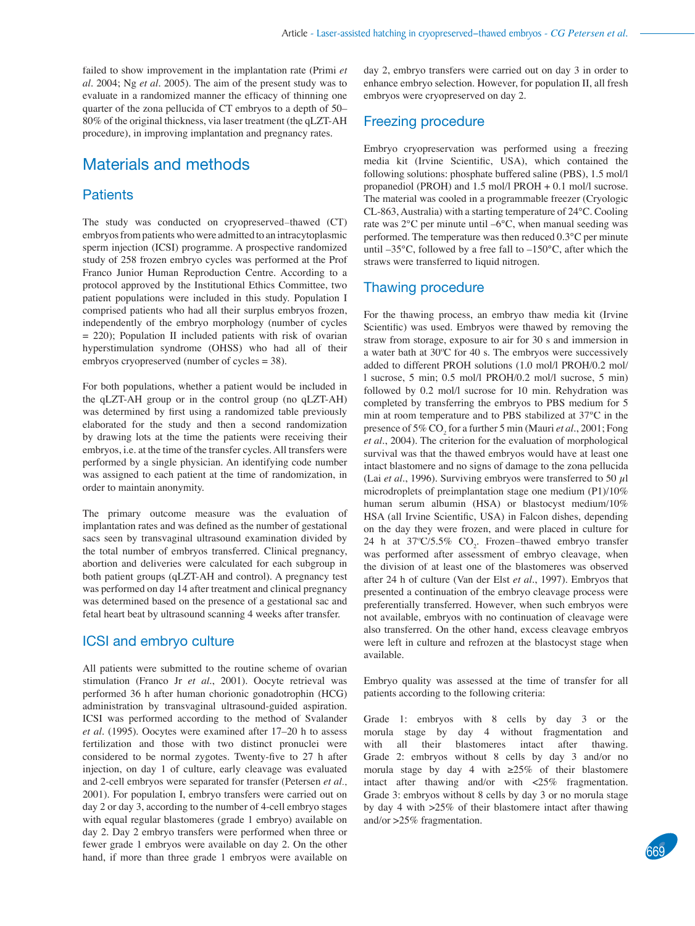failed to show improvement in the implantation rate (Primi *et al*. 2004; Ng *et al*. 2005). The aim of the present study was to evaluate in a randomized manner the efficacy of thinning one quarter of the zona pellucida of CT embryos to a depth of 50– 80% of the original thickness, via laser treatment (the qLZT-AH procedure), in improving implantation and pregnancy rates.

# Materials and methods

### **Patients**

The study was conducted on cryopreserved−thawed (CT) embryos from patients who were admitted to an intracytoplasmic sperm injection (ICSI) programme. A prospective randomized study of 258 frozen embryo cycles was performed at the Prof Franco Junior Human Reproduction Centre. According to a protocol approved by the Institutional Ethics Committee, two patient populations were included in this study. Population I comprised patients who had all their surplus embryos frozen, independently of the embryo morphology (number of cycles = 220); Population II included patients with risk of ovarian hyperstimulation syndrome (OHSS) who had all of their embryos cryopreserved (number of cycles = 38).

For both populations, whether a patient would be included in the qLZT-AH group or in the control group (no qLZT-AH) was determined by first using a randomized table previously elaborated for the study and then a second randomization by drawing lots at the time the patients were receiving their embryos, i.e. at the time of the transfer cycles. All transfers were performed by a single physician. An identifying code number was assigned to each patient at the time of randomization, in order to maintain anonymity.

The primary outcome measure was the evaluation of implantation rates and was defined as the number of gestational sacs seen by transvaginal ultrasound examination divided by the total number of embryos transferred. Clinical pregnancy, abortion and deliveries were calculated for each subgroup in both patient groups (qLZT-AH and control). A pregnancy test was performed on day 14 after treatment and clinical pregnancy was determined based on the presence of a gestational sac and fetal heart beat by ultrasound scanning 4 weeks after transfer.

#### ICSI and embryo culture

All patients were submitted to the routine scheme of ovarian stimulation (Franco Jr *et al*., 2001). Oocyte retrieval was performed 36 h after human chorionic gonadotrophin (HCG) administration by transvaginal ultrasound-guided aspiration. ICSI was performed according to the method of Svalander *et al*. (1995). Oocytes were examined after 17–20 h to assess fertilization and those with two distinct pronuclei were considered to be normal zygotes. Twenty-five to 27 h after injection, on day 1 of culture, early cleavage was evaluated and 2-cell embryos were separated for transfer (Petersen *et al*., 2001). For population I, embryo transfers were carried out on day 2 or day 3, according to the number of 4-cell embryo stages with equal regular blastomeres (grade 1 embryo) available on day 2. Day 2 embryo transfers were performed when three or fewer grade 1 embryos were available on day 2. On the other hand, if more than three grade 1 embryos were available on

day 2, embryo transfers were carried out on day 3 in order to enhance embryo selection. However, for population II, all fresh embryos were cryopreserved on day 2.

#### Freezing procedure

Embryo cryopreservation was performed using a freezing media kit (Irvine Scientific, USA), which contained the following solutions: phosphate buffered saline (PBS), 1.5 mol/l propanediol (PROH) and 1.5 mol/l PROH + 0.1 mol/l sucrose. The material was cooled in a programmable freezer (Cryologic CL-863, Australia) with a starting temperature of 24°C. Cooling rate was 2°C per minute until –6°C, when manual seeding was performed. The temperature was then reduced 0.3°C per minute until –35°C, followed by a free fall to –150°C, after which the straws were transferred to liquid nitrogen.

### Thawing procedure

For the thawing process, an embryo thaw media kit (Irvine Scientific) was used. Embryos were thawed by removing the straw from storage, exposure to air for 30 s and immersion in a water bath at 30ºC for 40 s. The embryos were successively added to different PROH solutions (1.0 mol/l PROH/0.2 mol/ l sucrose, 5 min; 0.5 mol/l PROH/0.2 mol/l sucrose, 5 min) followed by 0.2 mol/l sucrose for 10 min. Rehydration was completed by transferring the embryos to PBS medium for 5 min at room temperature and to PBS stabilized at 37°C in the presence of 5% CO<sub>2</sub> for a further 5 min (Mauri *et al.*, 2001; Fong *et al*., 2004). The criterion for the evaluation of morphological survival was that the thawed embryos would have at least one intact blastomere and no signs of damage to the zona pellucida (Lai *et al*., 1996). Surviving embryos were transferred to 50 µl microdroplets of preimplantation stage one medium (P1)/10% human serum albumin (HSA) or blastocyst medium/10% HSA (all Irvine Scientific, USA) in Falcon dishes, depending on the day they were frozen, and were placed in culture for 24 h at  $37^{\circ}C/5.5\%$  CO<sub>2</sub>. Frozen–thawed embryo transfer was performed after assessment of embryo cleavage, when the division of at least one of the blastomeres was observed after 24 h of culture (Van der Elst *et al*., 1997). Embryos that presented a continuation of the embryo cleavage process were preferentially transferred. However, when such embryos were not available, embryos with no continuation of cleavage were also transferred. On the other hand, excess cleavage embryos were left in culture and refrozen at the blastocyst stage when available.

Embryo quality was assessed at the time of transfer for all patients according to the following criteria:

Grade 1: embryos with 8 cells by day 3 or the morula stage by day 4 without fragmentation and with all their blastomeres intact after thawing. Grade 2: embryos without 8 cells by day 3 and/or no morula stage by day 4 with ≥25% of their blastomere intact after thawing and/or with <25% fragmentation. Grade 3: embryos without 8 cells by day 3 or no morula stage by day 4 with >25% of their blastomere intact after thawing and/or >25% fragmentation.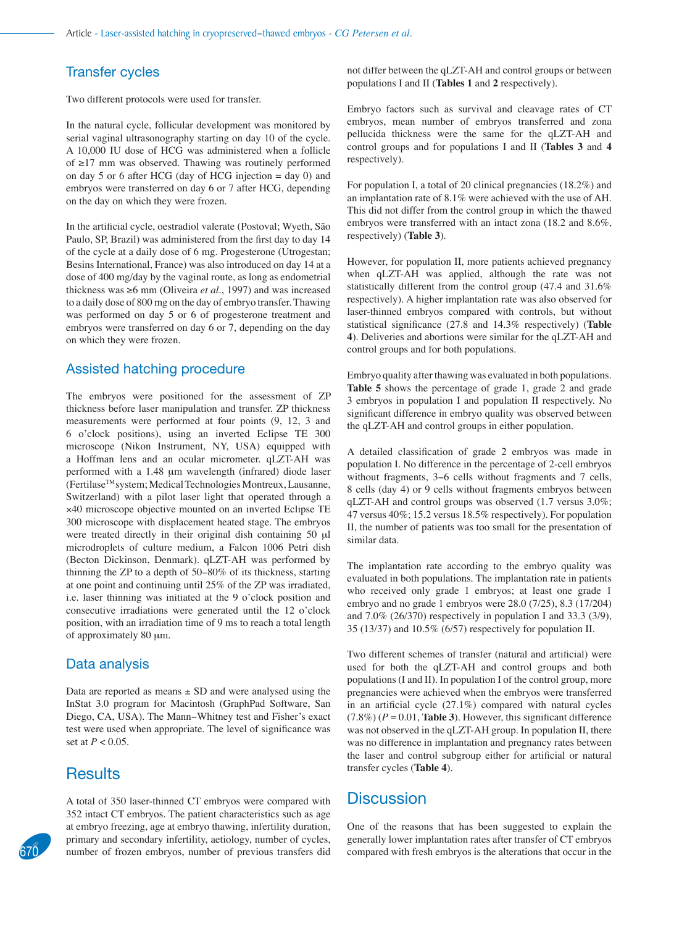## Transfer cycles

Two different protocols were used for transfer.

In the natural cycle, follicular development was monitored by serial vaginal ultrasonography starting on day 10 of the cycle. A 10,000 IU dose of HCG was administered when a follicle of ≥17 mm was observed. Thawing was routinely performed on day 5 or 6 after HCG (day of HCG injection  $=$  day 0) and embryos were transferred on day 6 or 7 after HCG, depending on the day on which they were frozen.

In the artificial cycle, oestradiol valerate (Postoval; Wyeth, São Paulo, SP, Brazil) was administered from the first day to day 14 of the cycle at a daily dose of 6 mg. Progesterone (Utrogestan; Besins International, France) was also introduced on day 14 at a dose of 400 mg/day by the vaginal route, as long as endometrial thickness was ≥6 mm (Oliveira *et al*., 1997) and was increased to a daily dose of 800 mg on the day of embryo transfer. Thawing was performed on day 5 or 6 of progesterone treatment and embryos were transferred on day 6 or 7, depending on the day on which they were frozen.

#### Assisted hatching procedure

The embryos were positioned for the assessment of ZP thickness before laser manipulation and transfer. ZP thickness measurements were performed at four points (9, 12, 3 and 6 o'clock positions), using an inverted Eclipse TE 300 microscope (Nikon Instrument, NY, USA) equipped with a Hoffman lens and an ocular micrometer. qLZT-AH was performed with a 1.48 μm wavelength (infrared) diode laser (FertilaseTM system; Medical Technologies Montreux, Lausanne, Switzerland) with a pilot laser light that operated through a ×40 microscope objective mounted on an inverted Eclipse TE 300 microscope with displacement heated stage. The embryos were treated directly in their original dish containing 50 μl microdroplets of culture medium, a Falcon 1006 Petri dish (Becton Dickinson, Denmark). qLZT-AH was performed by thinning the ZP to a depth of 50–80% of its thickness, starting at one point and continuing until 25% of the ZP was irradiated, i.e. laser thinning was initiated at the 9 o'clock position and consecutive irradiations were generated until the 12 o'clock position, with an irradiation time of 9 ms to reach a total length of approximately 80 μm.

#### Data analysis

Data are reported as means  $\pm$  SD and were analysed using the InStat 3.0 program for Macintosh (GraphPad Software, San Diego, CA, USA). The Mann−Whitney test and Fisher's exact test were used when appropriate. The level of significance was set at *P* < 0.05.

## **Results**

A total of 350 laser-thinned CT embryos were compared with 352 intact CT embryos. The patient characteristics such as age at embryo freezing, age at embryo thawing, infertility duration, primary and secondary infertility, aetiology, number of cycles, **670** number of frozen embryos, number of previous transfers did compared with fresh embryos is the alterations that occur in the

not differ between the qLZT-AH and control groups or between populations I and II (**Tables 1** and **2** respectively).

Embryo factors such as survival and cleavage rates of CT embryos, mean number of embryos transferred and zona pellucida thickness were the same for the qLZT-AH and control groups and for populations I and II (**Tables 3** and **4** respectively).

For population I, a total of 20 clinical pregnancies (18.2%) and an implantation rate of 8.1% were achieved with the use of AH. This did not differ from the control group in which the thawed embryos were transferred with an intact zona (18.2 and 8.6%, respectively) (**Table 3**).

However, for population II, more patients achieved pregnancy when qLZT-AH was applied, although the rate was not statistically different from the control group (47.4 and 31.6% respectively). A higher implantation rate was also observed for laser-thinned embryos compared with controls, but without statistical significance (27.8 and 14.3% respectively) (Table **4**). Deliveries and abortions were similar for the qLZT-AH and control groups and for both populations.

Embryo quality after thawing was evaluated in both populations. **Table 5** shows the percentage of grade 1, grade 2 and grade 3 embryos in population I and population II respectively. No significant difference in embryo quality was observed between the qLZT-AH and control groups in either population.

A detailed classification of grade 2 embryos was made in population I. No difference in the percentage of 2-cell embryos without fragments, 3−6 cells without fragments and 7 cells, 8 cells (day 4) or 9 cells without fragments embryos between qLZT-AH and control groups was observed (1.7 versus 3.0%; 47 versus 40%; 15.2 versus 18.5% respectively). For population II, the number of patients was too small for the presentation of similar data.

The implantation rate according to the embryo quality was evaluated in both populations. The implantation rate in patients who received only grade 1 embryos; at least one grade 1 embryo and no grade 1 embryos were 28.0 (7/25), 8.3 (17/204) and 7.0% (26/370) respectively in population I and 33.3 (3/9), 35 (13/37) and 10.5% (6/57) respectively for population II.

Two different schemes of transfer (natural and artificial) were used for both the qLZT-AH and control groups and both populations (I and II). In population I of the control group, more pregnancies were achieved when the embryos were transferred in an artificial cycle  $(27.1\%)$  compared with natural cycles  $(7.8\%) (P = 0.01,$  Table 3). However, this significant difference was not observed in the qLZT-AH group. In population II, there was no difference in implantation and pregnancy rates between the laser and control subgroup either for artificial or natural transfer cycles (**Table 4**).

## **Discussion**

One of the reasons that has been suggested to explain the generally lower implantation rates after transfer of CT embryos

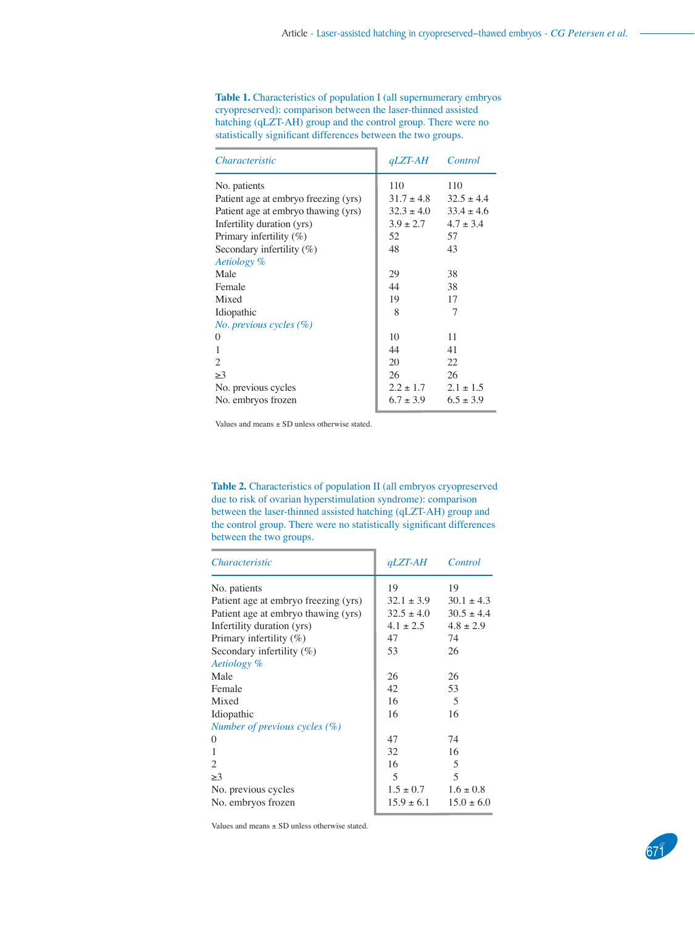**Table 1.** Characteristics of population I (all supernumerary embryos cryopreserved): comparison between the laser-thinned assisted hatching (qLZT-AH) group and the control group. There were no statistically significant differences between the two groups.

| <i>Characteristic</i>                | $qLZT-AH$      | Control        |
|--------------------------------------|----------------|----------------|
| No. patients                         | 110            | 110            |
| Patient age at embryo freezing (yrs) | $31.7 \pm 4.8$ | $32.5 \pm 4.4$ |
| Patient age at embryo thawing (yrs)  | $32.3 \pm 4.0$ | $33.4 \pm 4.6$ |
| Infertility duration (yrs)           | $3.9 \pm 2.7$  | $4.7 \pm 3.4$  |
| Primary infertility $(\%)$           | 52             | 57             |
| Secondary infertility (%)            | 48             | 43             |
| Aetiology %                          |                |                |
| Male                                 | 29             | 38             |
| Female                               | 44             | 38             |
| Mixed                                | 19             | 17             |
| Idiopathic                           | 8              | 7              |
| No. previous cycles (%)              |                |                |
| 0                                    | 10             | 11             |
| 1                                    | 44             | 41             |
| $\mathfrak{D}$                       | 20             | 22             |
| >3                                   | 26             | 26             |
| No. previous cycles                  | $2.2 \pm 1.7$  | $2.1 \pm 1.5$  |
| No. embryos frozen                   | $6.7 \pm 3.9$  | $6.5 \pm 3.9$  |

Values and means ± SD unless otherwise stated.

**Table 2.** Characteristics of population II (all embryos cryopreserved due to risk of ovarian hyperstimulation syndrome): comparison between the laser-thinned assisted hatching (qLZT-AH) group and the control group. There were no statistically significant differences between the two groups.

| <i>Characteristic</i>                | <i><b>qLZT-AH</b></i> | Control        |
|--------------------------------------|-----------------------|----------------|
| No. patients                         | 19                    | 19             |
| Patient age at embryo freezing (yrs) | $32.1 \pm 3.9$        | $30.1 \pm 4.3$ |
| Patient age at embryo thawing (yrs)  | $32.5 \pm 4.0$        | $30.5 \pm 4.4$ |
| Infertility duration (yrs)           | $4.1 \pm 2.5$         | $4.8 \pm 2.9$  |
| Primary infertility $(\%)$           | 47                    | 74             |
| Secondary infertility $(\%)$         | 53                    | 26             |
| Aetiology %                          |                       |                |
| Male                                 | 26                    | 26             |
| Female                               | 42                    | 53             |
| Mixed                                | 16                    | 5              |
| Idiopathic                           | 16                    | 16             |
| Number of previous cycles $(\%)$     |                       |                |
| $\theta$                             | 47                    | 74             |
| 1                                    | 32                    | 16             |
| 2                                    | 16                    | 5              |
| >3                                   | 5                     | 5              |
| No. previous cycles                  | $1.5 \pm 0.7$         | $1.6 \pm 0.8$  |
| No. embryos frozen                   | $15.9 \pm 6.1$        | $15.0 \pm 6.0$ |

Values and means ± SD unless otherwise stated.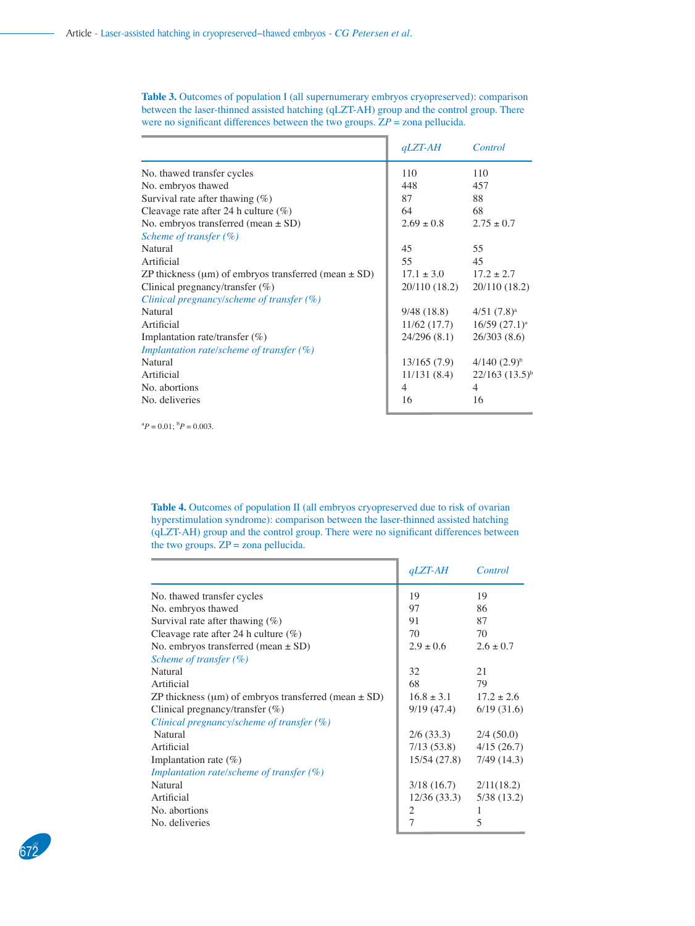**Table 3.** Outcomes of population I (all supernumerary embryos cryopreserved): comparison between the laser-thinned assisted hatching (qLZT-AH) group and the control group. There were no significant differences between the two groups.  $ZP = z$ ona pellucida.

|                                                          | $qLZT-AH$      | Control               |
|----------------------------------------------------------|----------------|-----------------------|
| No. thawed transfer cycles                               | 110            | 110                   |
| No. embryos thawed                                       | 448            | 457                   |
| Survival rate after thawing $(\%)$                       | 87             | 88                    |
| Cleavage rate after 24 h culture $(\%)$                  | 64             | 68                    |
| No. embryos transferred (mean $\pm$ SD)                  | $2.69 \pm 0.8$ | $2.75 \pm 0.7$        |
| Scheme of transfer $(\% )$                               |                |                       |
| Natural                                                  | 45             | 55                    |
| Artificial                                               | 55             | 45                    |
| ZP thickness (um) of embryos transferred (mean $\pm$ SD) | $17.1 \pm 3.0$ | $17.2 \pm 2.7$        |
| Clinical pregnancy/transfer (%)                          | 20/110 (18.2)  | 20/110 (18.2)         |
| Clinical pregnancy/scheme of transfer $(\%)$             |                |                       |
| Natural                                                  | 9/48 (18.8)    | $4/51$ $(7.8)^a$      |
| Artificial                                               | 11/62(17.7)    | $16/59$ $(27.1)^a$    |
| Implantation rate/transfer $(\%)$                        | 24/296(8.1)    | 26/303(8.6)           |
| Implantation rate/scheme of transfer $(\%)$              |                |                       |
| Natural                                                  | 13/165(7.9)    | $4/140$ $(2.9)^{b}$   |
| Artificial                                               | 11/131(8.4)    | $22/163$ $(13.5)^{6}$ |
| No. abortions                                            | $\overline{4}$ | 4                     |
| No. deliveries                                           | 16             | 16                    |

 ${}^{a}P = 0.01; {}^{b}P = 0.003.$ 

**Table 4.** Outcomes of population II (all embryos cryopreserved due to risk of ovarian hyperstimulation syndrome): comparison between the laser-thinned assisted hatching (qLZT-AH) group and the control group. There were no significant differences between the two groups.  $\overline{ZP}$  = zona pellucida.

|                                                                | $qLZT-AH$      | Control        |
|----------------------------------------------------------------|----------------|----------------|
| No. thawed transfer cycles                                     | 19             | 19             |
| No. embryos thawed                                             | 97             | 86             |
| Survival rate after thawing $(\%)$                             | 91             | 87             |
| Cleavage rate after 24 h culture $(\%)$                        | 70             | 70             |
| No. embryos transferred (mean $\pm$ SD)                        | $2.9 \pm 0.6$  | $2.6 \pm 0.7$  |
| Scheme of transfer $(\% )$                                     |                |                |
| Natural                                                        | 32             | 21             |
| Artificial                                                     | 68             | 79             |
| ZP thickness ( $\mu$ m) of embryos transferred (mean $\pm$ SD) | $16.8 \pm 3.1$ | $17.2 \pm 2.6$ |
| Clinical pregnancy/transfer $(\%)$                             | 9/19 (47.4)    | 6/19(31.6)     |
| Clinical pregnancy/scheme of transfer $(\%)$                   |                |                |
| Natural                                                        | 2/6(33.3)      | 2/4(50.0)      |
| Artificial                                                     | 7/13(53.8)     | 4/15(26.7)     |
| Implantation rate $(\%)$                                       | 15/54 (27.8)   | 7/49(14.3)     |
| Implantation rate/scheme of transfer $(\%)$                    |                |                |
| Natural                                                        | 3/18(16.7)     | 2/11(18.2)     |
| Artificial                                                     | 12/36(33.3)    | 5/38(13.2)     |
| No. abortions                                                  | 2              |                |
| No. deliveries                                                 | 7              | 5              |

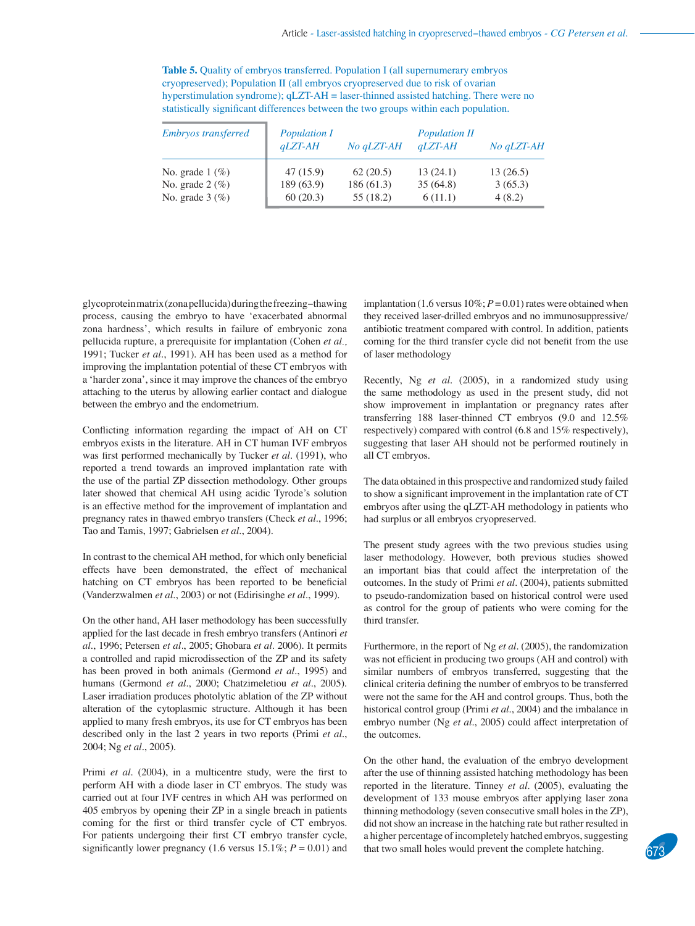**Table 5.** Quality of embryos transferred. Population I (all supernumerary embryos cryopreserved); Population II (all embryos cryopreserved due to risk of ovarian hyperstimulation syndrome); qLZT-AH = laser-thinned assisted hatching. There were no statistically significant differences between the two groups within each population.

| <b>Embryos transferred</b>      | <b>Population I</b><br>$qLZT-AH$ | No qLZT-AH | <b>Population II</b><br>$qLZT-AH$ | No qLZT-AH |
|---------------------------------|----------------------------------|------------|-----------------------------------|------------|
| No. grade $1 \, (\%)$           | 47(15.9)                         | 62(20.5)   | 13(24.1)                          | 13(26.5)   |
| No. grade $2 \left( \% \right)$ | 189(63.9)                        | 186(61.3)  | 35(64.8)                          | 3(65.3)    |
| No. grade $3 \left( \% \right)$ | 60(20.3)                         | 55 (18.2)  | 6(11.1)                           | 4(8.2)     |

glycoprotein matrix (zona pellucida) during the freezing−thawing process, causing the embryo to have 'exacerbated abnormal zona hardness', which results in failure of embryonic zona pellucida rupture, a prerequisite for implantation (Cohen *et al*., 1991; Tucker *et al*., 1991). AH has been used as a method for improving the implantation potential of these CT embryos with a 'harder zona', since it may improve the chances of the embryo attaching to the uterus by allowing earlier contact and dialogue between the embryo and the endometrium.

Conflicting information regarding the impact of AH on CT embryos exists in the literature. AH in CT human IVF embryos was first performed mechanically by Tucker et al. (1991), who reported a trend towards an improved implantation rate with the use of the partial ZP dissection methodology. Other groups later showed that chemical AH using acidic Tyrode's solution is an effective method for the improvement of implantation and pregnancy rates in thawed embryo transfers (Check *et al*., 1996; Tao and Tamis, 1997; Gabrielsen *et al*., 2004).

In contrast to the chemical AH method, for which only beneficial effects have been demonstrated, the effect of mechanical hatching on CT embryos has been reported to be beneficial (Vanderzwalmen *et al*., 2003) or not (Edirisinghe *et al*., 1999).

On the other hand, AH laser methodology has been successfully applied for the last decade in fresh embryo transfers (Antinori *et al*., 1996; Petersen *et al*., 2005; Ghobara *et al*. 2006). It permits a controlled and rapid microdissection of the ZP and its safety has been proved in both animals (Germond *et al*., 1995) and humans (Germond *et al*., 2000; Chatzimeletiou *et al*., 2005). Laser irradiation produces photolytic ablation of the ZP without alteration of the cytoplasmic structure. Although it has been applied to many fresh embryos, its use for CT embryos has been described only in the last 2 years in two reports (Primi *et al*., 2004; Ng *et al*., 2005).

Primi et al. (2004), in a multicentre study, were the first to perform AH with a diode laser in CT embryos. The study was carried out at four IVF centres in which AH was performed on 405 embryos by opening their ZP in a single breach in patients coming for the first or third transfer cycle of CT embryos. For patients undergoing their first CT embryo transfer cycle, significantly lower pregnancy (1.6 versus 15.1%;  $P = 0.01$ ) and implantation (1.6 versus  $10\%$ ;  $P = 0.01$ ) rates were obtained when they received laser-drilled embryos and no immunosuppressive/ antibiotic treatment compared with control. In addition, patients coming for the third transfer cycle did not benefit from the use of laser methodology

Recently, Ng *et al*. (2005), in a randomized study using the same methodology as used in the present study, did not show improvement in implantation or pregnancy rates after transferring 188 laser-thinned CT embryos (9.0 and 12.5% respectively) compared with control (6.8 and 15% respectively), suggesting that laser AH should not be performed routinely in all CT embryos.

The data obtained in this prospective and randomized study failed to show a significant improvement in the implantation rate of CT embryos after using the qLZT-AH methodology in patients who had surplus or all embryos cryopreserved.

The present study agrees with the two previous studies using laser methodology. However, both previous studies showed an important bias that could affect the interpretation of the outcomes. In the study of Primi *et al*. (2004), patients submitted to pseudo-randomization based on historical control were used as control for the group of patients who were coming for the third transfer.

Furthermore, in the report of Ng *et al*. (2005), the randomization was not efficient in producing two groups (AH and control) with similar numbers of embryos transferred, suggesting that the clinical criteria defining the number of embryos to be transferred were not the same for the AH and control groups. Thus, both the historical control group (Primi *et al*., 2004) and the imbalance in embryo number (Ng *et al*., 2005) could affect interpretation of the outcomes.

On the other hand, the evaluation of the embryo development after the use of thinning assisted hatching methodology has been reported in the literature. Tinney *et al*. (2005), evaluating the development of 133 mouse embryos after applying laser zona thinning methodology (seven consecutive small holes in the ZP), did not show an increase in the hatching rate but rather resulted in a higher percentage of incompletely hatched embryos, suggesting that two small holes would prevent the complete hatching.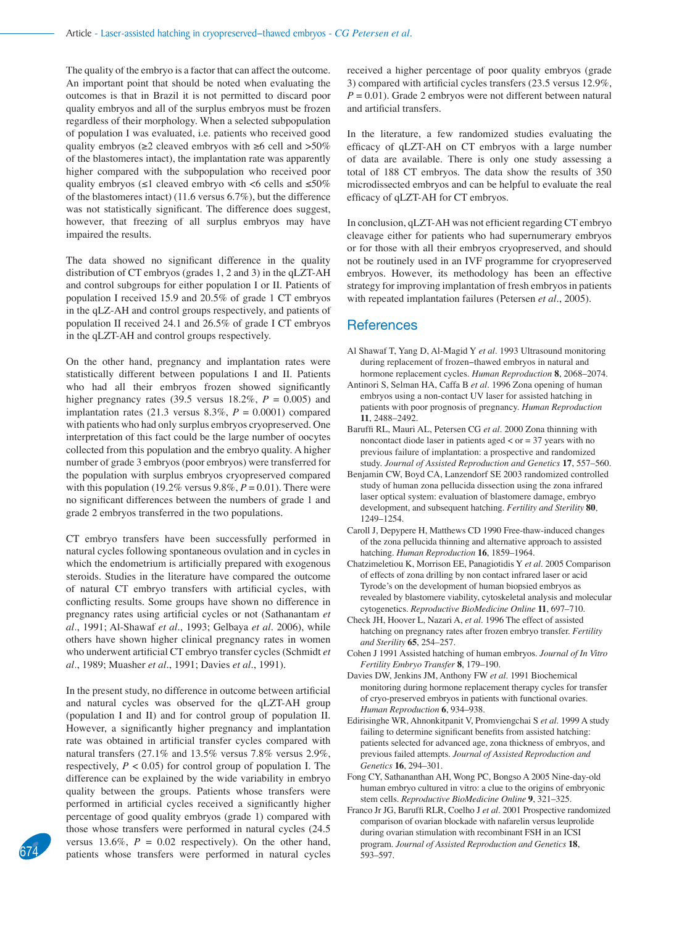The quality of the embryo is a factor that can affect the outcome. An important point that should be noted when evaluating the outcomes is that in Brazil it is not permitted to discard poor quality embryos and all of the surplus embryos must be frozen regardless of their morphology. When a selected subpopulation of population I was evaluated, i.e. patients who received good quality embryos ( $\geq 2$  cleaved embryos with  $\geq 6$  cell and  $>50\%$ of the blastomeres intact), the implantation rate was apparently higher compared with the subpopulation who received poor quality embryos ( $\leq 1$  cleaved embryo with <6 cells and  $\leq 50\%$ of the blastomeres intact) (11.6 versus 6.7%), but the difference was not statistically significant. The difference does suggest, however, that freezing of all surplus embryos may have impaired the results.

The data showed no significant difference in the quality distribution of CT embryos (grades 1, 2 and 3) in the qLZT-AH and control subgroups for either population I or II. Patients of population I received 15.9 and 20.5% of grade 1 CT embryos in the qLZ-AH and control groups respectively, and patients of population II received 24.1 and 26.5% of grade I CT embryos in the qLZT-AH and control groups respectively.

On the other hand, pregnancy and implantation rates were statistically different between populations I and II. Patients who had all their embryos frozen showed significantly higher pregnancy rates (39.5 versus  $18.2\%$ ,  $P = 0.005$ ) and implantation rates  $(21.3 \text{ versus } 8.3\%, P = 0.0001)$  compared with patients who had only surplus embryos cryopreserved. One interpretation of this fact could be the large number of oocytes collected from this population and the embryo quality. A higher number of grade 3 embryos (poor embryos) were transferred for the population with surplus embryos cryopreserved compared with this population (19.2% versus 9.8%,  $P = 0.01$ ). There were no significant differences between the numbers of grade 1 and grade 2 embryos transferred in the two populations.

CT embryo transfers have been successfully performed in natural cycles following spontaneous ovulation and in cycles in which the endometrium is artificially prepared with exogenous steroids. Studies in the literature have compared the outcome of natural CT embryo transfers with artificial cycles, with conflicting results. Some groups have shown no difference in pregnancy rates using artificial cycles or not (Sathanantam *et al*., 1991; Al-Shawaf *et al*., 1993; Gelbaya *et al*. 2006), while others have shown higher clinical pregnancy rates in women who underwent artificial CT embryo transfer cycles (Schmidt et *al*., 1989; Muasher *et al*., 1991; Davies *et al*., 1991).

In the present study, no difference in outcome between artificial and natural cycles was observed for the qLZT-AH group (population I and II) and for control group of population II. However, a significantly higher pregnancy and implantation rate was obtained in artificial transfer cycles compared with natural transfers (27.1% and 13.5% versus 7.8% versus 2.9%, respectively,  $P < 0.05$ ) for control group of population I. The difference can be explained by the wide variability in embryo quality between the groups. Patients whose transfers were performed in artificial cycles received a significantly higher percentage of good quality embryos (grade 1) compared with those whose transfers were performed in natural cycles (24.5 versus 13.6%,  $P = 0.02$  respectively). On the other hand, versus 13.6%,  $P = 0.02$  respectively). On the other hand, program. *Journal of Assisted Reproduction and Genetics* **18**, patients whose transfers were performed in natural cycles 593–597.

received a higher percentage of poor quality embryos (grade 3) compared with artificial cycles transfers  $(23.5 \text{ versus } 12.9\%$ ,  $P = 0.01$ ). Grade 2 embryos were not different between natural and artificial transfers.

In the literature, a few randomized studies evaluating the efficacy of qLZT-AH on CT embryos with a large number of data are available. There is only one study assessing a total of 188 CT embryos. The data show the results of 350 microdissected embryos and can be helpful to evaluate the real efficacy of qLZT-AH for CT embryos.

In conclusion, qLZT-AH was not efficient regarding CT embryo cleavage either for patients who had supernumerary embryos or for those with all their embryos cryopreserved, and should not be routinely used in an IVF programme for cryopreserved embryos. However, its methodology has been an effective strategy for improving implantation of fresh embryos in patients with repeated implantation failures (Petersen *et al*., 2005).

#### **References**

- Al Shawaf T, Yang D, Al-Magid Y *et al*. 1993 Ultrasound monitoring during replacement of frozen−thawed embryos in natural and hormone replacement cycles. *Human Reproduction* **8**, 2068–2074.
- Antinori S, Selman HA, Caffa B *et al*. 1996 Zona opening of human embryos using a non-contact UV laser for assisted hatching in patients with poor prognosis of pregnancy. *Human Reproduction* **11**, 2488–2492.
- Baruffi RL, Mauri AL, Petersen CG *et al*. 2000 Zona thinning with noncontact diode laser in patients aged < or = 37 years with no previous failure of implantation: a prospective and randomized study. *Journal of Assisted Reproduction and Genetics* **17**, 557–560.
- Benjamin CW, Boyd CA, Lanzendorf SE 2003 randomized controlled study of human zona pellucida dissection using the zona infrared laser optical system: evaluation of blastomere damage, embryo development, and subsequent hatching. *Fertility and Sterility* **80**, 1249–1254.
- Caroll J, Depypere H, Matthews CD 1990 Free-thaw-induced changes of the zona pellucida thinning and alternative approach to assisted hatching. *Human Reproduction* **16**, 1859–1964.
- Chatzimeletiou K, Morrison EE, Panagiotidis Y *et al*. 2005 Comparison of effects of zona drilling by non contact infrared laser or acid Tyrode's on the development of human biopsied embryos as revealed by blastomere viability, cytoskeletal analysis and molecular cytogenetics. *Reproductive BioMedicine Online* **11**, 697–710.
- Check JH, Hoover L, Nazari A, *et al*. 1996 The effect of assisted hatching on pregnancy rates after frozen embryo transfer. *Fertility and Sterility* **65**, 254–257.
- Cohen J 1991 Assisted hatching of human embryos. *Journal of In Vitro Fertility Embryo Transfer* **8**, 179–190.
- Davies DW, Jenkins JM, Anthony FW *et al*. 1991 Biochemical monitoring during hormone replacement therapy cycles for transfer of cryo-preserved embryos in patients with functional ovaries. *Human Reproduction* **6**, 934–938.
- Edirisinghe WR, Ahnonkitpanit V, Promviengchai S *et al*. 1999 A study failing to determine significant benefits from assisted hatching: patients selected for advanced age, zona thickness of embryos, and previous failed attempts. *Journal of Assisted Reproduction and Genetics* **16**, 294–301.
- Fong CY, Sathananthan AH, Wong PC, Bongso A 2005 Nine-day-old human embryo cultured in vitro: a clue to the origins of embryonic stem cells. *Reproductive BioMedicine Online* **9**, 321–325.
- Franco Jr JG, Baruffi RLR, Coelho J *et al*. 2001 Prospective randomized comparison of ovarian blockade with nafarelin versus leuprolide during ovarian stimulation with recombinant FSH in an ICSI<br>program. Journal of Assisted Reproduction and Genetics 18,